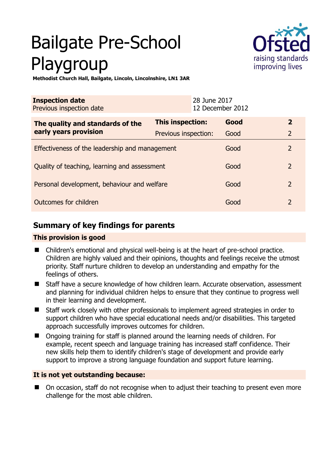# Bailgate Pre-School Playgroup



**Methodist Church Hall, Bailgate, Lincoln, Lincolnshire, LN1 3AR** 

| <b>Inspection date</b><br>Previous inspection date        | 28 June 2017            | 12 December 2012 |                |
|-----------------------------------------------------------|-------------------------|------------------|----------------|
| The quality and standards of the<br>early years provision | <b>This inspection:</b> | Good             | $\overline{2}$ |
|                                                           | Previous inspection:    | Good             | $\overline{2}$ |
| Effectiveness of the leadership and management            |                         | Good             | $\overline{2}$ |
| Quality of teaching, learning and assessment              |                         | Good             | $\overline{2}$ |
| Personal development, behaviour and welfare               |                         | Good             | $\overline{2}$ |
| Outcomes for children                                     |                         | Good             | $\mathcal{P}$  |

# **Summary of key findings for parents**

# **This provision is good**

- Children's emotional and physical well-being is at the heart of pre-school practice. Children are highly valued and their opinions, thoughts and feelings receive the utmost priority. Staff nurture children to develop an understanding and empathy for the feelings of others.
- Staff have a secure knowledge of how children learn. Accurate observation, assessment and planning for individual children helps to ensure that they continue to progress well in their learning and development.
- Staff work closely with other professionals to implement agreed strategies in order to support children who have special educational needs and/or disabilities. This targeted approach successfully improves outcomes for children.
- Ongoing training for staff is planned around the learning needs of children. For example, recent speech and language training has increased staff confidence. Their new skills help them to identify children's stage of development and provide early support to improve a strong language foundation and support future learning.

# **It is not yet outstanding because:**

 On occasion, staff do not recognise when to adjust their teaching to present even more challenge for the most able children.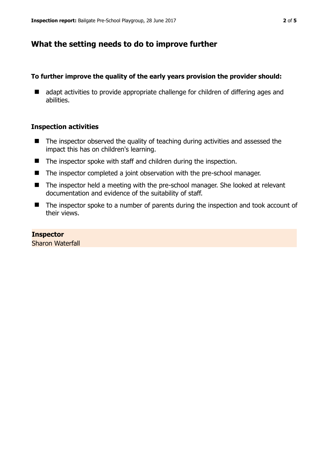# **What the setting needs to do to improve further**

## **To further improve the quality of the early years provision the provider should:**

■ adapt activities to provide appropriate challenge for children of differing ages and abilities.

#### **Inspection activities**

- $\blacksquare$  The inspector observed the quality of teaching during activities and assessed the impact this has on children's learning.
- The inspector spoke with staff and children during the inspection.
- The inspector completed a joint observation with the pre-school manager.
- The inspector held a meeting with the pre-school manager. She looked at relevant documentation and evidence of the suitability of staff.
- The inspector spoke to a number of parents during the inspection and took account of their views.

#### **Inspector**

Sharon Waterfall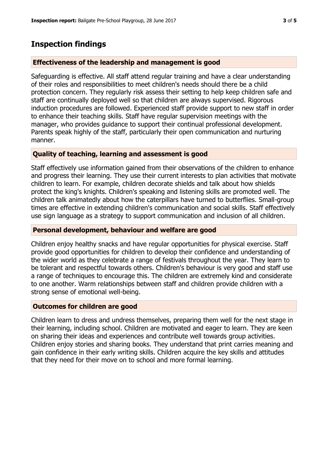# **Inspection findings**

## **Effectiveness of the leadership and management is good**

Safeguarding is effective. All staff attend regular training and have a clear understanding of their roles and responsibilities to meet children's needs should there be a child protection concern. They regularly risk assess their setting to help keep children safe and staff are continually deployed well so that children are always supervised. Rigorous induction procedures are followed. Experienced staff provide support to new staff in order to enhance their teaching skills. Staff have regular supervision meetings with the manager, who provides guidance to support their continual professional development. Parents speak highly of the staff, particularly their open communication and nurturing manner.

## **Quality of teaching, learning and assessment is good**

Staff effectively use information gained from their observations of the children to enhance and progress their learning. They use their current interests to plan activities that motivate children to learn. For example, children decorate shields and talk about how shields protect the king's knights. Children's speaking and listening skills are promoted well. The children talk animatedly about how the caterpillars have turned to butterflies. Small-group times are effective in extending children's communication and social skills. Staff effectively use sign language as a strategy to support communication and inclusion of all children.

## **Personal development, behaviour and welfare are good**

Children enjoy healthy snacks and have regular opportunities for physical exercise. Staff provide good opportunities for children to develop their confidence and understanding of the wider world as they celebrate a range of festivals throughout the year. They learn to be tolerant and respectful towards others. Children's behaviour is very good and staff use a range of techniques to encourage this. The children are extremely kind and considerate to one another. Warm relationships between staff and children provide children with a strong sense of emotional well-being.

## **Outcomes for children are good**

Children learn to dress and undress themselves, preparing them well for the next stage in their learning, including school. Children are motivated and eager to learn. They are keen on sharing their ideas and experiences and contribute well towards group activities. Children enjoy stories and sharing books. They understand that print carries meaning and gain confidence in their early writing skills. Children acquire the key skills and attitudes that they need for their move on to school and more formal learning.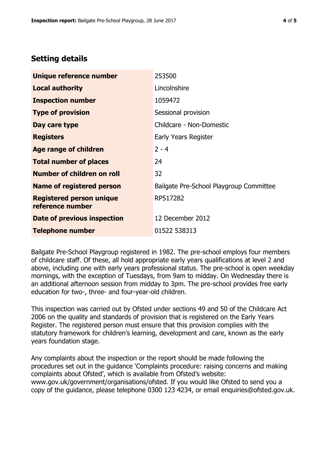# **Setting details**

| Unique reference number                             | 253500                                  |  |
|-----------------------------------------------------|-----------------------------------------|--|
| <b>Local authority</b>                              | Lincolnshire                            |  |
| <b>Inspection number</b>                            | 1059472                                 |  |
| <b>Type of provision</b>                            | Sessional provision                     |  |
| Day care type                                       | Childcare - Non-Domestic                |  |
| <b>Registers</b>                                    | Early Years Register                    |  |
| <b>Age range of children</b>                        | $2 - 4$                                 |  |
| <b>Total number of places</b>                       | 24                                      |  |
| Number of children on roll                          | 32                                      |  |
| Name of registered person                           | Bailgate Pre-School Playgroup Committee |  |
| <b>Registered person unique</b><br>reference number | RP517282                                |  |
| Date of previous inspection                         | 12 December 2012                        |  |
| <b>Telephone number</b>                             | 01522 538313                            |  |

Bailgate Pre-School Playgroup registered in 1982. The pre-school employs four members of childcare staff. Of these, all hold appropriate early years qualifications at level 2 and above, including one with early years professional status. The pre-school is open weekday mornings, with the exception of Tuesdays, from 9am to midday. On Wednesday there is an additional afternoon session from midday to 3pm. The pre-school provides free early education for two-, three- and four-year-old children.

This inspection was carried out by Ofsted under sections 49 and 50 of the Childcare Act 2006 on the quality and standards of provision that is registered on the Early Years Register. The registered person must ensure that this provision complies with the statutory framework for children's learning, development and care, known as the early years foundation stage.

Any complaints about the inspection or the report should be made following the procedures set out in the guidance 'Complaints procedure: raising concerns and making complaints about Ofsted', which is available from Ofsted's website: www.gov.uk/government/organisations/ofsted. If you would like Ofsted to send you a copy of the guidance, please telephone 0300 123 4234, or email enquiries@ofsted.gov.uk.